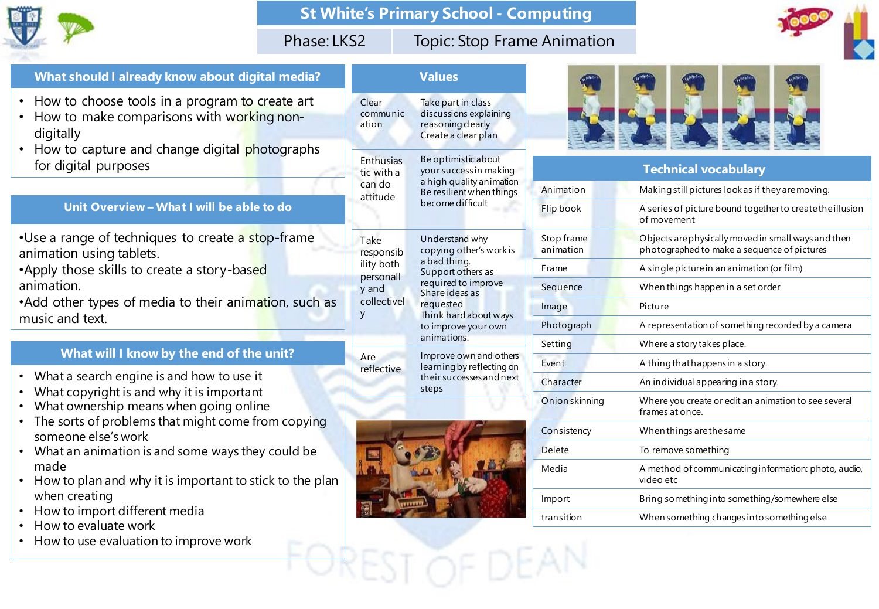

## **St White's Primary School - Computing**

## Phase: LKS2 Topic: Stop Frame Animation



#### **What should I already know about digital media?**

- How to choose tools in a program to create art
- How to make comparisons with working nondigitally
- How to capture and change digital photographs for digital purposes

#### **Unit Overview – What I will be able to do**

- •Use a range of techniques to create a stop-frame animation using tablets.
- •Apply those skills to create a story-based animation.

• Add other types of media to their animation, such as music and text.

## **What will I know by the end of the unit?**

- What a search engine is and how to use it
- What copyright is and why it is important
- What ownership means when going online
- The sorts of problems that might come from copying someone else's work
- What an animation is and some ways they could be made
- How to plan and why it is important to stick to the plan when creating
- How to import different media
- How to evaluate work
- How to use evaluation to improve work

|                                                                           | <b>Values</b>                                                                                                                                                                                       |  |
|---------------------------------------------------------------------------|-----------------------------------------------------------------------------------------------------------------------------------------------------------------------------------------------------|--|
| Clear<br>communic<br>ation                                                | Take part in class<br>discussions explaining<br>reasoning clearly<br>Create a clear plan                                                                                                            |  |
| <b>Enthusias</b><br>tic with a<br>can do<br>attitude                      | Be optimistic about<br>your success in making<br>a high quality animation<br>Be resilient when things<br>become difficult                                                                           |  |
| Take<br>responsib<br>ility both<br>personall<br>y and<br>collectivel<br>У | Understand why<br>copying other's work is<br>a bad thing.<br>Support others as<br>required to improve<br>Share ideas as<br>requested<br>Think hard about ways<br>to improve your own<br>animations. |  |
| Are<br>reflective                                                         | Improve own and others<br>learning by reflecting on<br>their successes and next<br>steps                                                                                                            |  |





|  |                         | <b>Technical vocabulary</b>                                                                        |
|--|-------------------------|----------------------------------------------------------------------------------------------------|
|  | Animation               | Making still pictures look as if they are moving.                                                  |
|  | Flip book               | A series of picture bound together to create the illusion<br>of movement                           |
|  | Stop frame<br>animation | Objects are physically moved in small ways and then<br>photographed to make a sequence of pictures |
|  | Frame                   | A single picture in an animation (or film)                                                         |
|  | Sequence                | When things happen in a set order                                                                  |
|  | Image                   | Picture                                                                                            |
|  | Photograph              | A representation of something recorded by a camera                                                 |
|  | Setting                 | Where a story takes place.                                                                         |
|  | Event                   | A thing that happens in a story.                                                                   |
|  | Character               | An individual appearing in a story.                                                                |
|  | Onion skinning          | Where you create or edit an animation to see several<br>frames at once.                            |
|  | Consistency             | When things are the same                                                                           |
|  | <b>Delete</b>           | To remove something                                                                                |
|  | Media                   | A method of communicating information: photo, audio,<br>video etc                                  |
|  | Import                  | Bring something into something/somewhere else                                                      |
|  | transition              | When something changes into something else                                                         |